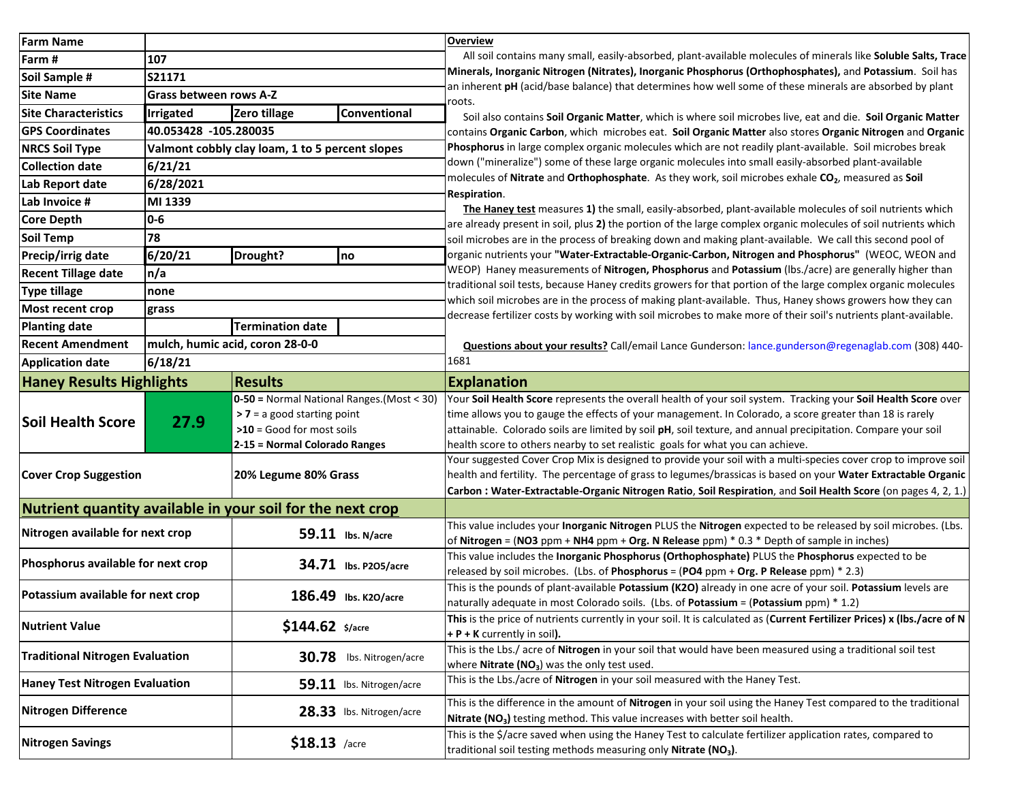| <b>Farm Name</b>                                           |                                                 |                                              |                                                                                                                | <b>Overview</b>                                                                                                                                                                                                                 |
|------------------------------------------------------------|-------------------------------------------------|----------------------------------------------|----------------------------------------------------------------------------------------------------------------|---------------------------------------------------------------------------------------------------------------------------------------------------------------------------------------------------------------------------------|
| Farm #                                                     | 107                                             |                                              |                                                                                                                | All soil contains many small, easily-absorbed, plant-available molecules of minerals like Soluble Salts, Trace                                                                                                                  |
| Soil Sample #                                              | S21171                                          |                                              |                                                                                                                | Minerals, Inorganic Nitrogen (Nitrates), Inorganic Phosphorus (Orthophosphates), and Potassium. Soil has<br>an inherent pH (acid/base balance) that determines how well some of these minerals are absorbed by plant            |
| <b>Site Name</b>                                           | <b>Grass between rows A-Z</b>                   |                                              |                                                                                                                | r <b>oots.</b>                                                                                                                                                                                                                  |
| <b>Site Characteristics</b>                                | <b>Irrigated</b>                                | Zero tillage                                 | <b>Conventional</b>                                                                                            | Soil also contains Soil Organic Matter, which is where soil microbes live, eat and die. Soil Organic Matter                                                                                                                     |
| <b>GPS Coordinates</b>                                     | 40.053428 -105.280035                           |                                              |                                                                                                                | contains Organic Carbon, which microbes eat. Soil Organic Matter also stores Organic Nitrogen and Organic                                                                                                                       |
| <b>NRCS Soil Type</b>                                      | Valmont cobbly clay loam, 1 to 5 percent slopes |                                              |                                                                                                                | Phosphorus in large complex organic molecules which are not readily plant-available. Soil microbes break                                                                                                                        |
| <b>Collection date</b>                                     | 6/21/21                                         |                                              |                                                                                                                | down ("mineralize") some of these large organic molecules into small easily-absorbed plant-available                                                                                                                            |
| Lab Report date                                            | 6/28/2021                                       |                                              |                                                                                                                | molecules of Nitrate and Orthophosphate. As they work, soil microbes exhale CO <sub>2</sub> , measured as Soil                                                                                                                  |
| Lab Invoice #                                              | MI 1339                                         |                                              |                                                                                                                | <b>Respiration.</b>                                                                                                                                                                                                             |
| <b>Core Depth</b>                                          | $0-6$                                           |                                              |                                                                                                                | The Haney test measures 1) the small, easily-absorbed, plant-available molecules of soil nutrients which                                                                                                                        |
| Soil Temp                                                  | 78                                              |                                              |                                                                                                                | are already present in soil, plus 2) the portion of the large complex organic molecules of soil nutrients which<br>soil microbes are in the process of breaking down and making plant-available. We call this second pool of    |
| Precip/irrig date                                          | 6/20/21                                         | Drought?                                     | no                                                                                                             | organic nutrients your "Water-Extractable-Organic-Carbon, Nitrogen and Phosphorus" (WEOC, WEON and                                                                                                                              |
| <b>Recent Tillage date</b>                                 | n/a                                             |                                              |                                                                                                                | WEOP) Haney measurements of Nitrogen, Phosphorus and Potassium (lbs./acre) are generally higher than                                                                                                                            |
| <b>Type tillage</b>                                        |                                                 |                                              |                                                                                                                | traditional soil tests, because Haney credits growers for that portion of the large complex organic molecules                                                                                                                   |
|                                                            | none                                            |                                              |                                                                                                                | which soil microbes are in the process of making plant-available. Thus, Haney shows growers how they can                                                                                                                        |
| Most recent crop                                           | grass                                           |                                              |                                                                                                                | decrease fertilizer costs by working with soil microbes to make more of their soil's nutrients plant-available.                                                                                                                 |
| <b>Planting date</b>                                       | <b>Termination date</b>                         |                                              |                                                                                                                |                                                                                                                                                                                                                                 |
| <b>Recent Amendment</b>                                    | mulch, humic acid, coron 28-0-0                 |                                              |                                                                                                                | Questions about your results? Call/email Lance Gunderson: lance.gunderson@regenaglab.com (308) 440-                                                                                                                             |
| <b>Application date</b>                                    | 6/18/21                                         |                                              |                                                                                                                | 1681                                                                                                                                                                                                                            |
| <b>Haney Results Highlights</b>                            |                                                 | <b>Results</b>                               |                                                                                                                | <b>Explanation</b>                                                                                                                                                                                                              |
|                                                            | 27.9                                            | $0-50$ = Normal National Ranges. (Most < 30) |                                                                                                                | Your Soil Health Score represents the overall health of your soil system. Tracking your Soil Health Score over                                                                                                                  |
| <b>Soil Health Score</b>                                   |                                                 | > 7 = a good starting point                  |                                                                                                                | time allows you to gauge the effects of your management. In Colorado, a score greater than 18 is rarely                                                                                                                         |
|                                                            |                                                 | $>10 =$ Good for most soils                  |                                                                                                                | attainable. Colorado soils are limited by soil pH, soil texture, and annual precipitation. Compare your soil                                                                                                                    |
|                                                            |                                                 | 2-15 = Normal Colorado Ranges                |                                                                                                                | health score to others nearby to set realistic goals for what you can achieve.                                                                                                                                                  |
| <b>Cover Crop Suggestion</b>                               |                                                 | 20% Legume 80% Grass                         |                                                                                                                | Your suggested Cover Crop Mix is designed to provide your soil with a multi-species cover crop to improve soil<br>health and fertility. The percentage of grass to legumes/brassicas is based on your Water Extractable Organic |
|                                                            |                                                 |                                              |                                                                                                                | Carbon : Water-Extractable-Organic Nitrogen Ratio, Soil Respiration, and Soil Health Score (on pages 4, 2, 1.)                                                                                                                  |
|                                                            |                                                 |                                              |                                                                                                                |                                                                                                                                                                                                                                 |
| Nutrient quantity available in your soil for the next crop |                                                 |                                              |                                                                                                                | This value includes your <b>Inorganic Nitrogen PLUS the Nitrogen</b> expected to be released by soil microbes. (Lbs.                                                                                                            |
| Nitrogen available for next crop                           |                                                 |                                              | 59.11 lbs. N/acre                                                                                              | of Nitrogen = (NO3 ppm + NH4 ppm + Org. N Release ppm) $*$ 0.3 $*$ Depth of sample in inches)                                                                                                                                   |
|                                                            |                                                 |                                              |                                                                                                                | This value includes the Inorganic Phosphorus (Orthophosphate) PLUS the Phosphorus expected to be                                                                                                                                |
| Phosphorus available for next crop                         |                                                 |                                              | <b>34.71</b> Ibs. P205/acre                                                                                    | released by soil microbes. (Lbs. of Phosphorus = (PO4 ppm + Org. P Release ppm) * 2.3)                                                                                                                                          |
|                                                            |                                                 |                                              |                                                                                                                | This is the pounds of plant-available Potassium (K2O) already in one acre of your soil. Potassium levels are                                                                                                                    |
| Potassium available for next crop                          |                                                 |                                              | 186.49 Ibs. K20/acre                                                                                           | Inaturally adequate in most Colorado soils. (Lbs. of Potassium = (Potassium ppm) * 1.2)                                                                                                                                         |
| <b>Nutrient Value</b>                                      |                                                 | $$144.62$ \$/acre                            |                                                                                                                | This is the price of nutrients currently in your soil. It is calculated as (Current Fertilizer Prices) x (lbs./acre of N                                                                                                        |
|                                                            |                                                 |                                              | + P + K currently in soil).                                                                                    |                                                                                                                                                                                                                                 |
| <b>Traditional Nitrogen Evaluation</b>                     |                                                 |                                              | 30.78 Ibs. Nitrogen/acre                                                                                       | This is the Lbs./ acre of Nitrogen in your soil that would have been measured using a traditional soil test                                                                                                                     |
|                                                            |                                                 |                                              |                                                                                                                | where Nitrate (NO <sub>3</sub> ) was the only test used.                                                                                                                                                                        |
| <b>Haney Test Nitrogen Evaluation</b>                      |                                                 |                                              | 59.11 Ibs. Nitrogen/acre                                                                                       | This is the Lbs./acre of Nitrogen in your soil measured with the Haney Test.                                                                                                                                                    |
| <b>Nitrogen Difference</b><br>28.33 Ibs. Nitrogen/acre     |                                                 |                                              | This is the difference in the amount of Nitrogen in your soil using the Haney Test compared to the traditional |                                                                                                                                                                                                                                 |
|                                                            |                                                 |                                              |                                                                                                                | Nitrate (NO <sub>3</sub> ) testing method. This value increases with better soil health.                                                                                                                                        |
| <b>Nitrogen Savings</b>                                    |                                                 | $$18.13$ /acre                               |                                                                                                                | This is the \$/acre saved when using the Haney Test to calculate fertilizer application rates, compared to                                                                                                                      |
|                                                            |                                                 |                                              |                                                                                                                | traditional soil testing methods measuring only Nitrate (NO <sub>3</sub> ).                                                                                                                                                     |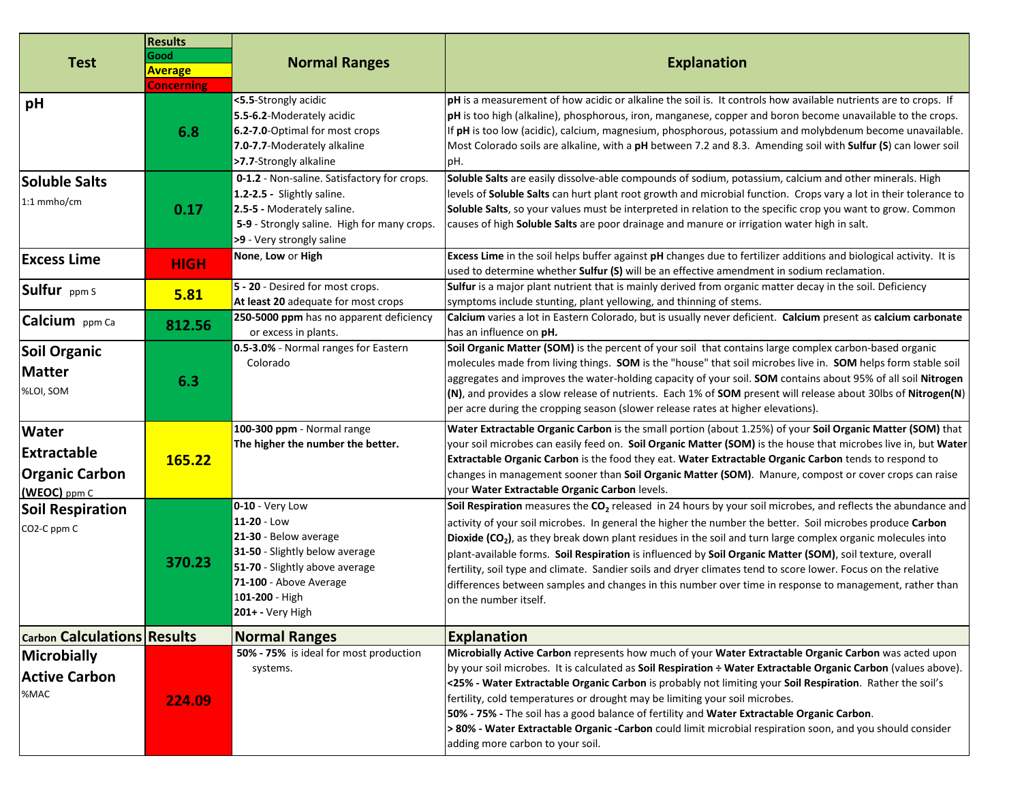| <b>Test</b>                                                                 | <b>Results</b><br>Good<br><b>Average</b><br><b>Concerning</b> | <b>Normal Ranges</b>                                                                                                                                                                          | <b>Explanation</b>                                                                                                                                                                                                                                                                                                                                                                                                                                                                                                                                                                                                                                                                                                                 |
|-----------------------------------------------------------------------------|---------------------------------------------------------------|-----------------------------------------------------------------------------------------------------------------------------------------------------------------------------------------------|------------------------------------------------------------------------------------------------------------------------------------------------------------------------------------------------------------------------------------------------------------------------------------------------------------------------------------------------------------------------------------------------------------------------------------------------------------------------------------------------------------------------------------------------------------------------------------------------------------------------------------------------------------------------------------------------------------------------------------|
| pH                                                                          | 6.8                                                           | <5.5-Strongly acidic<br>5.5-6.2-Moderately acidic<br>6.2-7.0-Optimal for most crops<br>7.0-7.7-Moderately alkaline<br>>7.7-Strongly alkaline                                                  | pH is a measurement of how acidic or alkaline the soil is. It controls how available nutrients are to crops. If<br>pH is too high (alkaline), phosphorous, iron, manganese, copper and boron become unavailable to the crops.<br>If pH is too low (acidic), calcium, magnesium, phosphorous, potassium and molybdenum become unavailable.<br>Most Colorado soils are alkaline, with a pH between 7.2 and 8.3. Amending soil with Sulfur (S) can lower soil<br>pH.                                                                                                                                                                                                                                                                  |
| <b>Soluble Salts</b><br>1:1 mmho/cm                                         | 0.17                                                          | 0-1.2 - Non-saline. Satisfactory for crops.<br>1.2-2.5 - Slightly saline.<br>2.5-5 - Moderately saline.<br>5-9 - Strongly saline. High for many crops.<br>>9 - Very strongly saline           | Soluble Salts are easily dissolve-able compounds of sodium, potassium, calcium and other minerals. High<br>levels of Soluble Salts can hurt plant root growth and microbial function. Crops vary a lot in their tolerance to<br>Soluble Salts, so your values must be interpreted in relation to the specific crop you want to grow. Common<br>causes of high Soluble Salts are poor drainage and manure or irrigation water high in salt.                                                                                                                                                                                                                                                                                         |
| <b>Excess Lime</b>                                                          | <b>HIGH</b>                                                   | None, Low or High                                                                                                                                                                             | Excess Lime in the soil helps buffer against pH changes due to fertilizer additions and biological activity. It is<br>used to determine whether Sulfur (S) will be an effective amendment in sodium reclamation.                                                                                                                                                                                                                                                                                                                                                                                                                                                                                                                   |
| Sulfur ppm S                                                                | 5.81                                                          | 5 - 20 - Desired for most crops.<br>At least 20 adequate for most crops                                                                                                                       | <b>Sulfur</b> is a major plant nutrient that is mainly derived from organic matter decay in the soil. Deficiency<br>symptoms include stunting, plant yellowing, and thinning of stems.                                                                                                                                                                                                                                                                                                                                                                                                                                                                                                                                             |
| Calcium ppm Ca                                                              | 812.56                                                        | 250-5000 ppm has no apparent deficiency<br>or excess in plants.                                                                                                                               | Calcium varies a lot in Eastern Colorado, but is usually never deficient. Calcium present as calcium carbonate<br>has an influence on pH.                                                                                                                                                                                                                                                                                                                                                                                                                                                                                                                                                                                          |
| <b>Soil Organic</b><br><b>Matter</b><br>%LOI, SOM                           | 6.3                                                           | 0.5-3.0% - Normal ranges for Eastern<br>Colorado                                                                                                                                              | Soil Organic Matter (SOM) is the percent of your soil that contains large complex carbon-based organic<br>molecules made from living things. SOM is the "house" that soil microbes live in. SOM helps form stable soil<br>aggregates and improves the water-holding capacity of your soil. SOM contains about 95% of all soil Nitrogen<br>(N), and provides a slow release of nutrients. Each 1% of SOM present will release about 30lbs of Nitrogen(N)<br>per acre during the cropping season (slower release rates at higher elevations).                                                                                                                                                                                        |
| <b>Water</b><br><b>Extractable</b><br><b>Organic Carbon</b><br>(WEOC) ppm C | 165.22                                                        | 100-300 ppm - Normal range<br>The higher the number the better.                                                                                                                               | Water Extractable Organic Carbon is the small portion (about 1.25%) of your Soil Organic Matter (SOM) that<br>your soil microbes can easily feed on. Soil Organic Matter (SOM) is the house that microbes live in, but Water<br>Extractable Organic Carbon is the food they eat. Water Extractable Organic Carbon tends to respond to<br>changes in management sooner than Soil Organic Matter (SOM). Manure, compost or cover crops can raise<br>your Water Extractable Organic Carbon levels.                                                                                                                                                                                                                                    |
| <b>Soil Respiration</b><br>CO2-C ppm C                                      | 370.23                                                        | $0-10 -$ Very Low<br>11-20 - Low<br>21-30 - Below average<br>31-50 - Slightly below average<br>51-70 - Slightly above average<br>71-100 - Above Average<br>101-200 - High<br>201+ - Very High | Soil Respiration measures the CO <sub>2</sub> released in 24 hours by your soil microbes, and reflects the abundance and<br>activity of your soil microbes. In general the higher the number the better. Soil microbes produce Carbon<br>Dioxide (CO <sub>2</sub> ), as they break down plant residues in the soil and turn large complex organic molecules into<br>plant-available forms. Soil Respiration is influenced by Soil Organic Matter (SOM), soil texture, overall<br>fertility, soil type and climate. Sandier soils and dryer climates tend to score lower. Focus on the relative<br>differences between samples and changes in this number over time in response to management, rather than<br>on the number itself. |
| <b>Carbon Calculations Results</b>                                          |                                                               | <b>Normal Ranges</b>                                                                                                                                                                          | <b>Explanation</b>                                                                                                                                                                                                                                                                                                                                                                                                                                                                                                                                                                                                                                                                                                                 |
| Microbially<br><b>Active Carbon</b><br>%MAC                                 | 224.09                                                        | 50% - 75% is ideal for most production<br>systems.                                                                                                                                            | Microbially Active Carbon represents how much of your Water Extractable Organic Carbon was acted upon<br>by your soil microbes. It is calculated as Soil Respiration ÷ Water Extractable Organic Carbon (values above).<br><25% - Water Extractable Organic Carbon is probably not limiting your Soil Respiration. Rather the soil's<br>fertility, cold temperatures or drought may be limiting your soil microbes.<br>50% - 75% - The soil has a good balance of fertility and Water Extractable Organic Carbon.<br>> 80% - Water Extractable Organic -Carbon could limit microbial respiration soon, and you should consider<br>adding more carbon to your soil.                                                                 |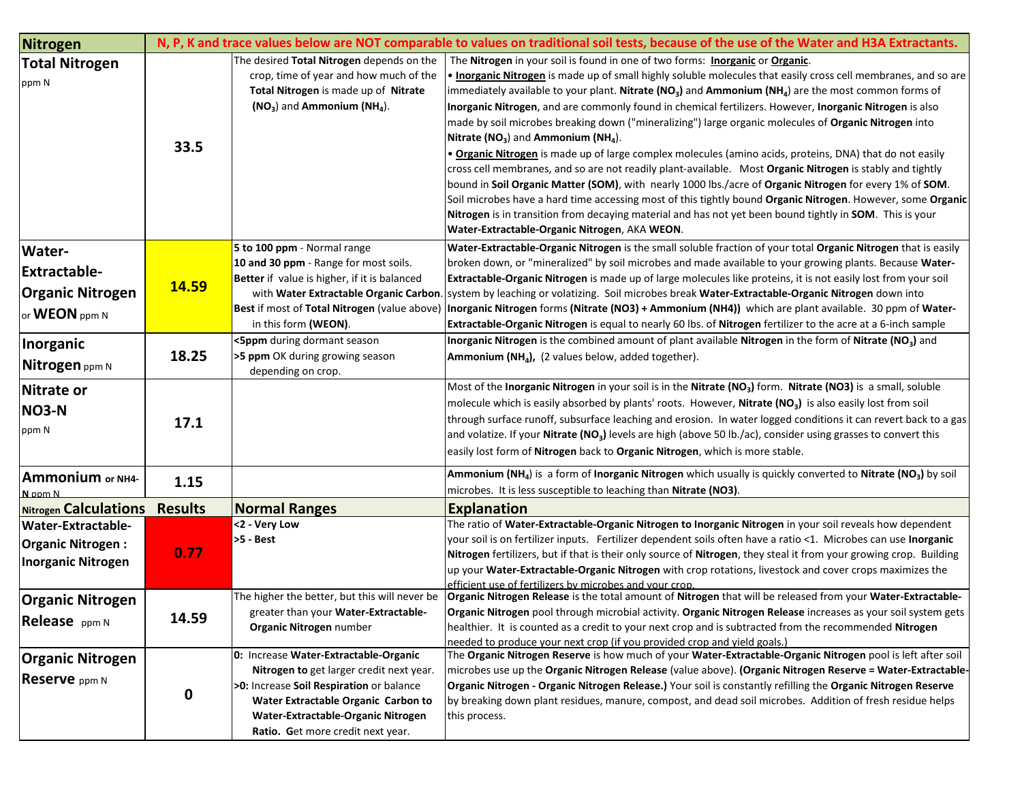| <b>Nitrogen</b>                                                                         |                |                                                                                                                                                                                                                                                 | N, P, K and trace values below are NOT comparable to values on traditional soil tests, because of the use of the Water and H3A Extractants.                                                                                                                                                                                                                                                                                                                                                                                                                                                                                                                                                                                                                                                                                                                                                                                                                                                                                                                                                                                                                                                                      |
|-----------------------------------------------------------------------------------------|----------------|-------------------------------------------------------------------------------------------------------------------------------------------------------------------------------------------------------------------------------------------------|------------------------------------------------------------------------------------------------------------------------------------------------------------------------------------------------------------------------------------------------------------------------------------------------------------------------------------------------------------------------------------------------------------------------------------------------------------------------------------------------------------------------------------------------------------------------------------------------------------------------------------------------------------------------------------------------------------------------------------------------------------------------------------------------------------------------------------------------------------------------------------------------------------------------------------------------------------------------------------------------------------------------------------------------------------------------------------------------------------------------------------------------------------------------------------------------------------------|
| <b>Total Nitrogen</b><br>ppm N                                                          | 33.5           | The desired Total Nitrogen depends on the<br>crop, time of year and how much of the<br>Total Nitrogen is made up of Nitrate<br>$(NO3)$ and Ammonium $(NH4)$ .                                                                                   | The Nitrogen in your soil is found in one of two forms: Inorganic or Organic.<br>. Inorganic Nitrogen is made up of small highly soluble molecules that easily cross cell membranes, and so are<br>immediately available to your plant. Nitrate (NO <sub>3</sub> ) and Ammonium (NH <sub>4</sub> ) are the most common forms of<br>Inorganic Nitrogen, and are commonly found in chemical fertilizers. However, Inorganic Nitrogen is also<br>made by soil microbes breaking down ("mineralizing") large organic molecules of Organic Nitrogen into<br>Nitrate ( $NO3$ ) and Ammonium ( $NH4$ ).<br>. Organic Nitrogen is made up of large complex molecules (amino acids, proteins, DNA) that do not easily<br>cross cell membranes, and so are not readily plant-available. Most Organic Nitrogen is stably and tightly<br>bound in Soil Organic Matter (SOM), with nearly 1000 lbs./acre of Organic Nitrogen for every 1% of SOM.<br>Soil microbes have a hard time accessing most of this tightly bound Organic Nitrogen. However, some Organic<br>Nitrogen is in transition from decaying material and has not yet been bound tightly in SOM. This is your<br>Water-Extractable-Organic Nitrogen, AKA WEON. |
| <b>Water-</b><br><b>Extractable-</b><br><b>Organic Nitrogen</b><br>or <b>WEON</b> ppm N | 14.59          | 5 to 100 ppm - Normal range<br>10 and 30 ppm - Range for most soils.<br>Better if value is higher, if it is balanced<br>Best if most of Total Nitrogen (value above)<br>in this form (WEON).<br><5ppm during dormant season                     | Water-Extractable-Organic Nitrogen is the small soluble fraction of your total Organic Nitrogen that is easily<br>broken down, or "mineralized" by soil microbes and made available to your growing plants. Because Water-<br>Extractable-Organic Nitrogen is made up of large molecules like proteins, it is not easily lost from your soil<br>with Water Extractable Organic Carbon. system by leaching or volatizing. Soil microbes break Water-Extractable-Organic Nitrogen down into<br>Inorganic Nitrogen forms (Nitrate (NO3) + Ammonium (NH4)) which are plant available. 30 ppm of Water-<br>Extractable-Organic Nitrogen is equal to nearly 60 lbs. of Nitrogen fertilizer to the acre at a 6-inch sample<br>Inorganic Nitrogen is the combined amount of plant available Nitrogen in the form of Nitrate (NO <sub>3</sub> ) and                                                                                                                                                                                                                                                                                                                                                                       |
| Inorganic<br>Nitrogen ppm N                                                             | 18.25          | >5 ppm OK during growing season<br>depending on crop.                                                                                                                                                                                           | Ammonium (NH <sub>4</sub> ), (2 values below, added together).                                                                                                                                                                                                                                                                                                                                                                                                                                                                                                                                                                                                                                                                                                                                                                                                                                                                                                                                                                                                                                                                                                                                                   |
| Nitrate or<br><b>NO3-N</b><br>ppm N                                                     | 17.1           |                                                                                                                                                                                                                                                 | Most of the Inorganic Nitrogen in your soil is in the Nitrate (NO <sub>3</sub> ) form. Nitrate (NO3) is a small, soluble<br>molecule which is easily absorbed by plants' roots. However, Nitrate (NO <sub>3</sub> ) is also easily lost from soil<br>through surface runoff, subsurface leaching and erosion. In water logged conditions it can revert back to a gas<br>and volatize. If your Nitrate $NO3$ levels are high (above 50 lb./ac), consider using grasses to convert this<br>easily lost form of Nitrogen back to Organic Nitrogen, which is more stable.                                                                                                                                                                                                                                                                                                                                                                                                                                                                                                                                                                                                                                            |
| Ammonium or NH4-<br>N nnm N                                                             | 1.15           |                                                                                                                                                                                                                                                 | Ammonium (NH <sub>4</sub> ) is a form of Inorganic Nitrogen which usually is quickly converted to Nitrate (NO <sub>3</sub> ) by soil<br>microbes. It is less susceptible to leaching than Nitrate (NO3).                                                                                                                                                                                                                                                                                                                                                                                                                                                                                                                                                                                                                                                                                                                                                                                                                                                                                                                                                                                                         |
| Nitrogen Calculations                                                                   | <b>Results</b> | <b>Normal Ranges</b>                                                                                                                                                                                                                            | <b>Explanation</b>                                                                                                                                                                                                                                                                                                                                                                                                                                                                                                                                                                                                                                                                                                                                                                                                                                                                                                                                                                                                                                                                                                                                                                                               |
| <b>Water-Extractable-</b><br><b>Organic Nitrogen:</b><br><b>Inorganic Nitrogen</b>      | 0.77           | <2 - Very Low<br>>5 - Best                                                                                                                                                                                                                      | The ratio of Water-Extractable-Organic Nitrogen to Inorganic Nitrogen in your soil reveals how dependent<br>your soil is on fertilizer inputs. Fertilizer dependent soils often have a ratio <1. Microbes can use Inorganic<br>Nitrogen fertilizers, but if that is their only source of Nitrogen, they steal it from your growing crop. Building<br>up your Water-Extractable-Organic Nitrogen with crop rotations, livestock and cover crops maximizes the<br>efficient use of fertilizers by microbes and your crop.                                                                                                                                                                                                                                                                                                                                                                                                                                                                                                                                                                                                                                                                                          |
| <b>Organic Nitrogen</b><br>Release ppm N                                                | 14.59          | The higher the better, but this will never be<br>greater than your Water-Extractable-<br>Organic Nitrogen number                                                                                                                                | Organic Nitrogen Release is the total amount of Nitrogen that will be released from your Water-Extractable-<br>Organic Nitrogen pool through microbial activity. Organic Nitrogen Release increases as your soil system gets<br>healthier. It is counted as a credit to your next crop and is subtracted from the recommended Nitrogen<br>needed to produce your next crop (if you provided crop and yield goals.)                                                                                                                                                                                                                                                                                                                                                                                                                                                                                                                                                                                                                                                                                                                                                                                               |
| <b>Organic Nitrogen</b><br>Reserve ppm N                                                | 0              | 0: Increase Water-Extractable-Organic<br>Nitrogen to get larger credit next year.<br>>0: Increase Soil Respiration or balance<br>Water Extractable Organic Carbon to<br>Water-Extractable-Organic Nitrogen<br>Ratio. Get more credit next year. | The Organic Nitrogen Reserve is how much of your Water-Extractable-Organic Nitrogen pool is left after soil<br>microbes use up the Organic Nitrogen Release (value above). (Organic Nitrogen Reserve = Water-Extractable-<br>Organic Nitrogen - Organic Nitrogen Release.) Your soil is constantly refilling the Organic Nitrogen Reserve<br>by breaking down plant residues, manure, compost, and dead soil microbes. Addition of fresh residue helps<br>this process.                                                                                                                                                                                                                                                                                                                                                                                                                                                                                                                                                                                                                                                                                                                                          |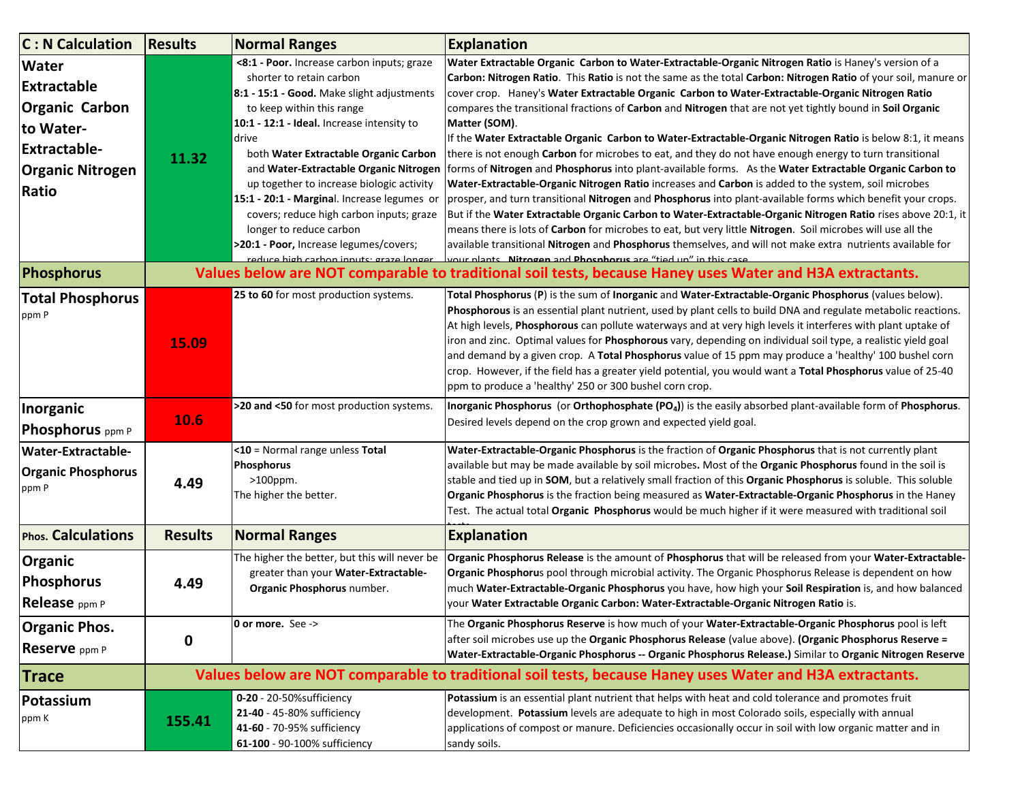| <b>C: N Calculation</b>                                                                                                             | <b>Results</b>                                                                                           | <b>Normal Ranges</b>                                                                                                                                                                                                                                                                                                                                                                                                                                                                                                                                | <b>Explanation</b>                                                                                                                                                                                                                                                                                                                                                                                                                                                                                                                                                                                                                                                                                                                                                                                                                                                                                                                                                                                                                                                                                                                                                                                                                                                                                                                                                                                                                |  |
|-------------------------------------------------------------------------------------------------------------------------------------|----------------------------------------------------------------------------------------------------------|-----------------------------------------------------------------------------------------------------------------------------------------------------------------------------------------------------------------------------------------------------------------------------------------------------------------------------------------------------------------------------------------------------------------------------------------------------------------------------------------------------------------------------------------------------|-----------------------------------------------------------------------------------------------------------------------------------------------------------------------------------------------------------------------------------------------------------------------------------------------------------------------------------------------------------------------------------------------------------------------------------------------------------------------------------------------------------------------------------------------------------------------------------------------------------------------------------------------------------------------------------------------------------------------------------------------------------------------------------------------------------------------------------------------------------------------------------------------------------------------------------------------------------------------------------------------------------------------------------------------------------------------------------------------------------------------------------------------------------------------------------------------------------------------------------------------------------------------------------------------------------------------------------------------------------------------------------------------------------------------------------|--|
| <b>Water</b><br><b>Extractable</b><br><b>Organic Carbon</b><br>to Water-<br><b>Extractable-</b><br><b>Organic Nitrogen</b><br>Ratio | 11.32                                                                                                    | <8:1 - Poor. Increase carbon inputs; graze<br>shorter to retain carbon<br>8:1 - 15:1 - Good. Make slight adjustments<br>to keep within this range<br>10:1 - 12:1 - Ideal. Increase intensity to<br>drive<br>both Water Extractable Organic Carbon<br>and Water-Extractable Organic Nitrogen<br>up together to increase biologic activity<br>15:1 - 20:1 - Marginal. Increase legumes or<br>covers; reduce high carbon inputs; graze<br>longer to reduce carbon<br>>20:1 - Poor, Increase legumes/covers;<br>reduce high carhon innuts: graze longer | Water Extractable Organic Carbon to Water-Extractable-Organic Nitrogen Ratio is Haney's version of a<br>Carbon: Nitrogen Ratio. This Ratio is not the same as the total Carbon: Nitrogen Ratio of your soil, manure or<br>cover crop. Haney's Water Extractable Organic Carbon to Water-Extractable-Organic Nitrogen Ratio<br>compares the transitional fractions of Carbon and Nitrogen that are not yet tightly bound in Soil Organic<br>Matter (SOM).<br>If the Water Extractable Organic Carbon to Water-Extractable-Organic Nitrogen Ratio is below 8:1, it means<br>there is not enough Carbon for microbes to eat, and they do not have enough energy to turn transitional<br>forms of Nitrogen and Phosphorus into plant-available forms. As the Water Extractable Organic Carbon to<br>Water-Extractable-Organic Nitrogen Ratio increases and Carbon is added to the system, soil microbes<br>prosper, and turn transitional Nitrogen and Phosphorus into plant-available forms which benefit your crops.<br>But if the Water Extractable Organic Carbon to Water-Extractable-Organic Nitrogen Ratio rises above 20:1, it<br>means there is lots of Carbon for microbes to eat, but very little Nitrogen. Soil microbes will use all the<br>available transitional Nitrogen and Phosphorus themselves, and will not make extra nutrients available for<br>vour plants Nitrogen and Phosphorus are "tied up" in this case |  |
| <b>Phosphorus</b>                                                                                                                   |                                                                                                          | Values below are NOT comparable to traditional soil tests, because Haney uses Water and H3A extractants.                                                                                                                                                                                                                                                                                                                                                                                                                                            |                                                                                                                                                                                                                                                                                                                                                                                                                                                                                                                                                                                                                                                                                                                                                                                                                                                                                                                                                                                                                                                                                                                                                                                                                                                                                                                                                                                                                                   |  |
| <b>Total Phosphorus</b><br>ppm P                                                                                                    | 15.09                                                                                                    | 25 to 60 for most production systems.                                                                                                                                                                                                                                                                                                                                                                                                                                                                                                               | Total Phosphorus (P) is the sum of Inorganic and Water-Extractable-Organic Phosphorus (values below).<br>Phosphorous is an essential plant nutrient, used by plant cells to build DNA and regulate metabolic reactions.<br>At high levels, Phosphorous can pollute waterways and at very high levels it interferes with plant uptake of<br>iron and zinc. Optimal values for Phosphorous vary, depending on individual soil type, a realistic yield goal<br>and demand by a given crop. A Total Phosphorus value of 15 ppm may produce a 'healthy' 100 bushel corn<br>crop. However, if the field has a greater yield potential, you would want a Total Phosphorus value of 25-40<br>ppm to produce a 'healthy' 250 or 300 bushel corn crop.                                                                                                                                                                                                                                                                                                                                                                                                                                                                                                                                                                                                                                                                                      |  |
| Inorganic<br>Phosphorus ppm P                                                                                                       | 10.6                                                                                                     | >20 and <50 for most production systems.                                                                                                                                                                                                                                                                                                                                                                                                                                                                                                            | Inorganic Phosphorus (or Orthophosphate (PO <sub>4</sub> )) is the easily absorbed plant-available form of Phosphorus.<br>Desired levels depend on the crop grown and expected yield goal.                                                                                                                                                                                                                                                                                                                                                                                                                                                                                                                                                                                                                                                                                                                                                                                                                                                                                                                                                                                                                                                                                                                                                                                                                                        |  |
| <b>Water-Extractable-</b><br><b>Organic Phosphorus</b><br>ppm P                                                                     | 4.49                                                                                                     | <10 = Normal range unless Total<br>Phosphorus<br>>100ppm.<br>The higher the better.                                                                                                                                                                                                                                                                                                                                                                                                                                                                 | Water-Extractable-Organic Phosphorus is the fraction of Organic Phosphorus that is not currently plant<br>available but may be made available by soil microbes. Most of the Organic Phosphorus found in the soil is<br>stable and tied up in SOM, but a relatively small fraction of this Organic Phosphorus is soluble. This soluble<br>Organic Phosphorus is the fraction being measured as Water-Extractable-Organic Phosphorus in the Haney<br>Test. The actual total Organic Phosphorus would be much higher if it were measured with traditional soil                                                                                                                                                                                                                                                                                                                                                                                                                                                                                                                                                                                                                                                                                                                                                                                                                                                                       |  |
| <b>Phos. Calculations</b>                                                                                                           | <b>Results</b>                                                                                           | <b>Normal Ranges</b>                                                                                                                                                                                                                                                                                                                                                                                                                                                                                                                                | <b>Explanation</b>                                                                                                                                                                                                                                                                                                                                                                                                                                                                                                                                                                                                                                                                                                                                                                                                                                                                                                                                                                                                                                                                                                                                                                                                                                                                                                                                                                                                                |  |
| <b>Organic</b><br>Phosphorus<br>Release ppm P                                                                                       | 4.49                                                                                                     | The higher the better, but this will never be<br>greater than your Water-Extractable-<br>Organic Phosphorus number.                                                                                                                                                                                                                                                                                                                                                                                                                                 | Organic Phosphorus Release is the amount of Phosphorus that will be released from your Water-Extractable-<br>Organic Phosphorus pool through microbial activity. The Organic Phosphorus Release is dependent on how<br>much Water-Extractable-Organic Phosphorus you have, how high your Soil Respiration is, and how balanced<br>your Water Extractable Organic Carbon: Water-Extractable-Organic Nitrogen Ratio is.                                                                                                                                                                                                                                                                                                                                                                                                                                                                                                                                                                                                                                                                                                                                                                                                                                                                                                                                                                                                             |  |
| <b>Organic Phos.</b><br>Reserve ppm P                                                                                               | 0                                                                                                        | 0 or more. See ->                                                                                                                                                                                                                                                                                                                                                                                                                                                                                                                                   | The Organic Phosphorus Reserve is how much of your Water-Extractable-Organic Phosphorus pool is left<br>after soil microbes use up the Organic Phosphorus Release (value above). (Organic Phosphorus Reserve =<br>Water-Extractable-Organic Phosphorus -- Organic Phosphorus Release.) Similar to Organic Nitrogen Reserve                                                                                                                                                                                                                                                                                                                                                                                                                                                                                                                                                                                                                                                                                                                                                                                                                                                                                                                                                                                                                                                                                                        |  |
| <b>Trace</b>                                                                                                                        | Values below are NOT comparable to traditional soil tests, because Haney uses Water and H3A extractants. |                                                                                                                                                                                                                                                                                                                                                                                                                                                                                                                                                     |                                                                                                                                                                                                                                                                                                                                                                                                                                                                                                                                                                                                                                                                                                                                                                                                                                                                                                                                                                                                                                                                                                                                                                                                                                                                                                                                                                                                                                   |  |
| Potassium<br>ppm K                                                                                                                  | 155.41                                                                                                   | 0-20 - 20-50% sufficiency<br>21-40 - 45-80% sufficiency<br>41-60 - 70-95% sufficiency<br>61-100 - 90-100% sufficiency                                                                                                                                                                                                                                                                                                                                                                                                                               | Potassium is an essential plant nutrient that helps with heat and cold tolerance and promotes fruit<br>development. Potassium levels are adequate to high in most Colorado soils, especially with annual<br>applications of compost or manure. Deficiencies occasionally occur in soil with low organic matter and in<br>sandy soils.                                                                                                                                                                                                                                                                                                                                                                                                                                                                                                                                                                                                                                                                                                                                                                                                                                                                                                                                                                                                                                                                                             |  |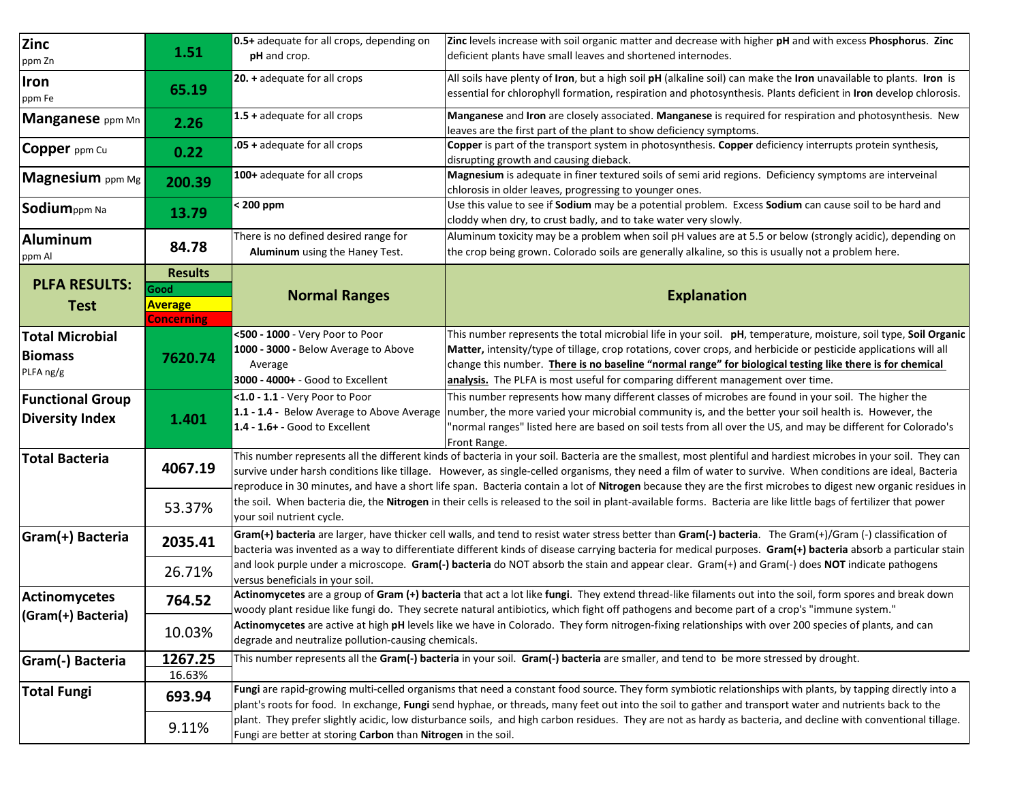| <b>Zinc</b><br>ppm Zn                                                                                                                                                                               | 1.51                                                          | 0.5+ adequate for all crops, depending on<br>pH and crop.                                                                                                                                                                                                                                                                      | Zinc levels increase with soil organic matter and decrease with higher pH and with excess Phosphorus. Zinc<br>deficient plants have small leaves and shortened internodes.                                                                                                                                                                                                                                                           |  |  |
|-----------------------------------------------------------------------------------------------------------------------------------------------------------------------------------------------------|---------------------------------------------------------------|--------------------------------------------------------------------------------------------------------------------------------------------------------------------------------------------------------------------------------------------------------------------------------------------------------------------------------|--------------------------------------------------------------------------------------------------------------------------------------------------------------------------------------------------------------------------------------------------------------------------------------------------------------------------------------------------------------------------------------------------------------------------------------|--|--|
| Iron<br>ppm Fe                                                                                                                                                                                      | 65.19                                                         | 20. + adequate for all crops                                                                                                                                                                                                                                                                                                   | All soils have plenty of Iron, but a high soil pH (alkaline soil) can make the Iron unavailable to plants. Iron is<br>essential for chlorophyll formation, respiration and photosynthesis. Plants deficient in Iron develop chlorosis.                                                                                                                                                                                               |  |  |
| Manganese ppm Mn                                                                                                                                                                                    | 2.26                                                          | 1.5 + adequate for all crops                                                                                                                                                                                                                                                                                                   | Manganese and Iron are closely associated. Manganese is required for respiration and photosynthesis. New<br>leaves are the first part of the plant to show deficiency symptoms.                                                                                                                                                                                                                                                      |  |  |
| Copper ppm Cu                                                                                                                                                                                       | 0.22                                                          | .05 + adequate for all crops                                                                                                                                                                                                                                                                                                   | Copper is part of the transport system in photosynthesis. Copper deficiency interrupts protein synthesis,<br>disrupting growth and causing dieback.                                                                                                                                                                                                                                                                                  |  |  |
| Magnesium ppm Mg                                                                                                                                                                                    | 200.39                                                        | 100+ adequate for all crops                                                                                                                                                                                                                                                                                                    | Magnesium is adequate in finer textured soils of semi arid regions. Deficiency symptoms are interveinal<br>chlorosis in older leaves, progressing to younger ones.                                                                                                                                                                                                                                                                   |  |  |
| Sodium <sub>ppm Na</sub>                                                                                                                                                                            | 13.79                                                         | < 200 ppm                                                                                                                                                                                                                                                                                                                      | Use this value to see if Sodium may be a potential problem. Excess Sodium can cause soil to be hard and<br>cloddy when dry, to crust badly, and to take water very slowly.                                                                                                                                                                                                                                                           |  |  |
| Aluminum<br>ppm Al                                                                                                                                                                                  | 84.78                                                         | There is no defined desired range for<br>Aluminum using the Haney Test.                                                                                                                                                                                                                                                        | Aluminum toxicity may be a problem when soil pH values are at 5.5 or below (strongly acidic), depending on<br>the crop being grown. Colorado soils are generally alkaline, so this is usually not a problem here.                                                                                                                                                                                                                    |  |  |
| <b>PLFA RESULTS:</b><br><b>Test</b>                                                                                                                                                                 | <b>Results</b><br>Good<br><b>Average</b><br><b>Concerning</b> | <b>Normal Ranges</b>                                                                                                                                                                                                                                                                                                           | <b>Explanation</b>                                                                                                                                                                                                                                                                                                                                                                                                                   |  |  |
| <b>Total Microbial</b><br><b>Biomass</b><br>PLFA ng/g                                                                                                                                               | 7620.74                                                       | <500 - 1000 - Very Poor to Poor<br>1000 - 3000 - Below Average to Above<br>Average<br>3000 - 4000+ - Good to Excellent                                                                                                                                                                                                         | This number represents the total microbial life in your soil. pH, temperature, moisture, soil type, Soil Organic<br>Matter, intensity/type of tillage, crop rotations, cover crops, and herbicide or pesticide applications will all<br>change this number. There is no baseline "normal range" for biological testing like there is for chemical<br>analysis. The PLFA is most useful for comparing different management over time. |  |  |
| <b>Functional Group</b><br><b>Diversity Index</b>                                                                                                                                                   | 1.401                                                         | <1.0 - 1.1 - Very Poor to Poor<br>1.1 - 1.4 - Below Average to Above Average<br>1.4 - 1.6+ - Good to Excellent                                                                                                                                                                                                                 | This number represents how many different classes of microbes are found in your soil. The higher the<br>number, the more varied your microbial community is, and the better your soil health is. However, the<br>"normal ranges" listed here are based on soil tests from all over the US, and may be different for Colorado's<br>Front Range.                                                                                       |  |  |
| <b>Total Bacteria</b>                                                                                                                                                                               | 4067.19                                                       | This number represents all the different kinds of bacteria in your soil. Bacteria are the smallest, most plentiful and hardiest microbes in your soil. They can<br>survive under harsh conditions like tillage. However, as single-celled organisms, they need a film of water to survive. When conditions are ideal, Bacteria |                                                                                                                                                                                                                                                                                                                                                                                                                                      |  |  |
|                                                                                                                                                                                                     | 53.37%                                                        | your soil nutrient cycle.                                                                                                                                                                                                                                                                                                      | reproduce in 30 minutes, and have a short life span. Bacteria contain a lot of Nitrogen because they are the first microbes to digest new organic residues in<br>the soil. When bacteria die, the Nitrogen in their cells is released to the soil in plant-available forms. Bacteria are like little bags of fertilizer that power                                                                                                   |  |  |
| Gram(+) Bacteria                                                                                                                                                                                    | 2035.41                                                       | Gram(+) bacteria are larger, have thicker cell walls, and tend to resist water stress better than Gram(-) bacteria. The Gram(+)/Gram (-) classification of<br>bacteria was invented as a way to differentiate different kinds of disease carrying bacteria for medical purposes. Gram(+) bacteria absorb a particular stain    |                                                                                                                                                                                                                                                                                                                                                                                                                                      |  |  |
|                                                                                                                                                                                                     | 26.71%                                                        | versus beneficials in your soil.                                                                                                                                                                                                                                                                                               | and look purple under a microscope. Gram(-) bacteria do NOT absorb the stain and appear clear. Gram(+) and Gram(-) does NOT indicate pathogens                                                                                                                                                                                                                                                                                       |  |  |
| <b>Actinomycetes</b><br>764.52<br>woody plant residue like fungi do. They secrete natural antibiotics, which fight off pathogens and become part of a crop's "immune system."<br>(Gram(+) Bacteria) |                                                               | Actinomycetes are a group of Gram (+) bacteria that act a lot like fungi. They extend thread-like filaments out into the soil, form spores and break down                                                                                                                                                                      |                                                                                                                                                                                                                                                                                                                                                                                                                                      |  |  |
|                                                                                                                                                                                                     | 10.03%                                                        | Actinomycetes are active at high pH levels like we have in Colorado. They form nitrogen-fixing relationships with over 200 species of plants, and can<br>degrade and neutralize pollution-causing chemicals.                                                                                                                   |                                                                                                                                                                                                                                                                                                                                                                                                                                      |  |  |
| Gram(-) Bacteria                                                                                                                                                                                    | 1267.25<br>16.63%                                             | This number represents all the Gram(-) bacteria in your soil. Gram(-) bacteria are smaller, and tend to be more stressed by drought.                                                                                                                                                                                           |                                                                                                                                                                                                                                                                                                                                                                                                                                      |  |  |
| <b>Total Fungi</b>                                                                                                                                                                                  | 693.94                                                        | Fungi are rapid-growing multi-celled organisms that need a constant food source. They form symbiotic relationships with plants, by tapping directly into a<br>plant's roots for food. In exchange, Fungi send hyphae, or threads, many feet out into the soil to gather and transport water and nutrients back to the          |                                                                                                                                                                                                                                                                                                                                                                                                                                      |  |  |
|                                                                                                                                                                                                     | 9.11%                                                         | Fungi are better at storing Carbon than Nitrogen in the soil.                                                                                                                                                                                                                                                                  | plant. They prefer slightly acidic, low disturbance soils, and high carbon residues. They are not as hardy as bacteria, and decline with conventional tillage.                                                                                                                                                                                                                                                                       |  |  |